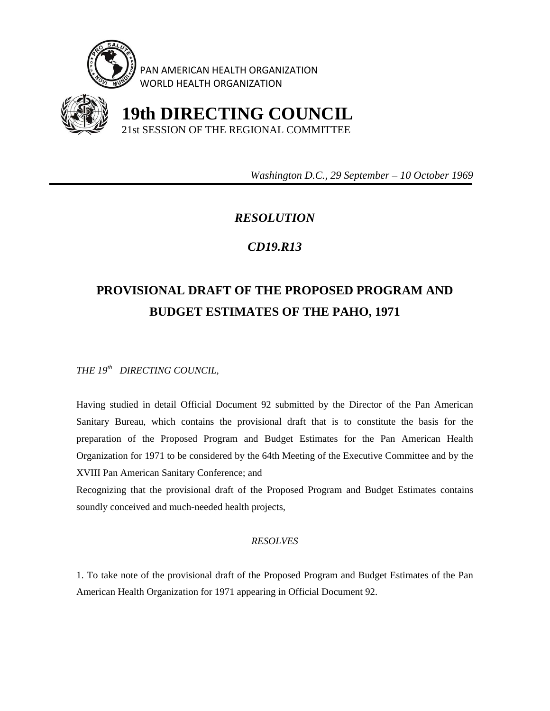

PAN AMERICAN HEALTH ORGANIZATION WORLD HEALTH ORGANIZATION



 **19th DIRECTING COUNCIL** 21st SESSION OF THE REGIONAL COMMITTEE

 *Washington D.C., 29 September – 10 October 1969* 

## *RESOLUTION*

## *CD19.R13*

## **PROVISIONAL DRAFT OF THE PROPOSED PROGRAM AND BUDGET ESTIMATES OF THE PAHO, 1971**

*THE 19th DIRECTING COUNCIL,* 

Having studied in detail Official Document 92 submitted by the Director of the Pan American Sanitary Bureau, which contains the provisional draft that is to constitute the basis for the preparation of the Proposed Program and Budget Estimates for the Pan American Health Organization for 1971 to be considered by the 64th Meeting of the Executive Committee and by the XVIII Pan American Sanitary Conference; and

Recognizing that the provisional draft of the Proposed Program and Budget Estimates contains soundly conceived and much-needed health projects,

## *RESOLVES*

1. To take note of the provisional draft of the Proposed Program and Budget Estimates of the Pan American Health Organization for 1971 appearing in Official Document 92.